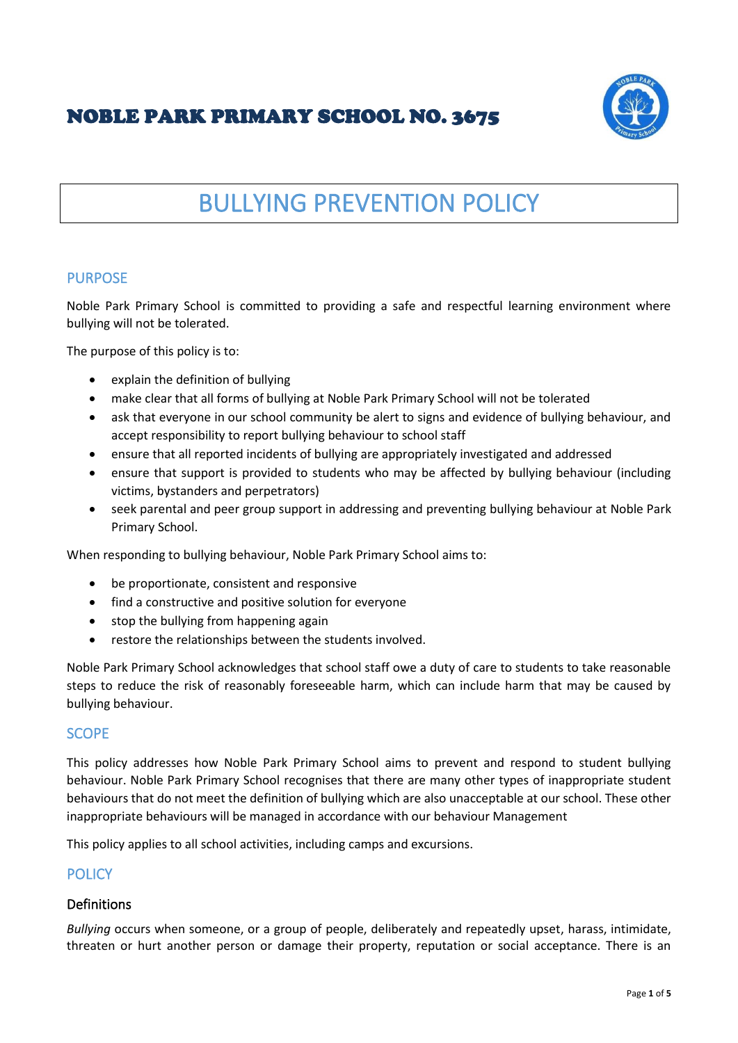# NOBLE PARK PRIMARY SCHOOL NO. 3675



# BULLYING PREVENTION POLICY

# PURPOSE

Noble Park Primary School is committed to providing a safe and respectful learning environment where bullying will not be tolerated.

The purpose of this policy is to:

- explain the definition of bullying
- make clear that all forms of bullying at Noble Park Primary School will not be tolerated
- ask that everyone in our school community be alert to signs and evidence of bullying behaviour, and accept responsibility to report bullying behaviour to school staff
- ensure that all reported incidents of bullying are appropriately investigated and addressed
- ensure that support is provided to students who may be affected by bullying behaviour (including victims, bystanders and perpetrators)
- seek parental and peer group support in addressing and preventing bullying behaviour at Noble Park Primary School.

When responding to bullying behaviour, Noble Park Primary School aims to:

- be proportionate, consistent and responsive
- find a constructive and positive solution for everyone
- stop the bullying from happening again
- restore the relationships between the students involved.

Noble Park Primary School acknowledges that school staff owe a duty of care to students to take reasonable steps to reduce the risk of reasonably foreseeable harm, which can include harm that may be caused by bullying behaviour.

# **SCOPE**

This policy addresses how Noble Park Primary School aims to prevent and respond to student bullying behaviour. Noble Park Primary School recognises that there are many other types of inappropriate student behaviours that do not meet the definition of bullying which are also unacceptable at our school. These other inappropriate behaviours will be managed in accordance with our behaviour Management

This policy applies to all school activities, including camps and excursions.

# **POLICY**

# Definitions

*Bullying* occurs when someone, or a group of people, deliberately and repeatedly upset, harass, intimidate, threaten or hurt another person or damage their property, reputation or social acceptance. There is an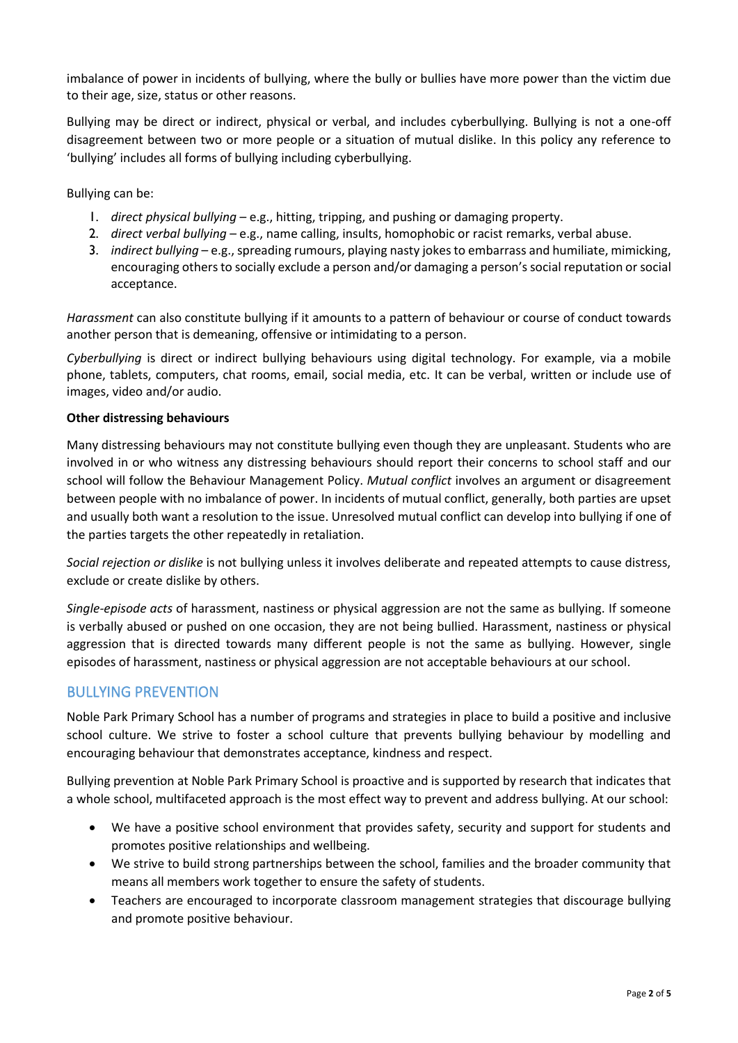imbalance of power in incidents of bullying, where the bully or bullies have more power than the victim due to their age, size, status or other reasons.

Bullying may be direct or indirect, physical or verbal, and includes cyberbullying. Bullying is not a one-off disagreement between two or more people or a situation of mutual dislike. In this policy any reference to 'bullying' includes all forms of bullying including cyberbullying.

Bullying can be:

- 1. *direct physical bullying* e.g., hitting, tripping, and pushing or damaging property.
- 2. *direct verbal bullying* e.g., name calling, insults, homophobic or racist remarks, verbal abuse.
- 3. *indirect bullying* e.g., spreading rumours, playing nasty jokes to embarrass and humiliate, mimicking, encouraging others to socially exclude a person and/or damaging a person's social reputation or social acceptance.

*Harassment* can also constitute bullying if it amounts to a pattern of behaviour or course of conduct towards another person that is demeaning, offensive or intimidating to a person.

*Cyberbullying* is direct or indirect bullying behaviours using digital technology. For example, via a mobile phone, tablets, computers, chat rooms, email, social media, etc. It can be verbal, written or include use of images, video and/or audio.

#### **Other distressing behaviours**

Many distressing behaviours may not constitute bullying even though they are unpleasant. Students who are involved in or who witness any distressing behaviours should report their concerns to school staff and our school will follow the Behaviour Management Policy. *Mutual conflict* involves an argument or disagreement between people with no imbalance of power. In incidents of mutual conflict, generally, both parties are upset and usually both want a resolution to the issue. Unresolved mutual conflict can develop into bullying if one of the parties targets the other repeatedly in retaliation.

*Social rejection or dislike* is not bullying unless it involves deliberate and repeated attempts to cause distress, exclude or create dislike by others.

*Single-episode acts* of harassment, nastiness or physical aggression are not the same as bullying. If someone is verbally abused or pushed on one occasion, they are not being bullied. Harassment, nastiness or physical aggression that is directed towards many different people is not the same as bullying. However, single episodes of harassment, nastiness or physical aggression are not acceptable behaviours at our school.

#### BULLYING PREVENTION

Noble Park Primary School has a number of programs and strategies in place to build a positive and inclusive school culture. We strive to foster a school culture that prevents bullying behaviour by modelling and encouraging behaviour that demonstrates acceptance, kindness and respect.

Bullying prevention at Noble Park Primary School is proactive and is supported by research that indicates that a whole school, multifaceted approach is the most effect way to prevent and address bullying. At our school:

- We have a positive school environment that provides safety, security and support for students and promotes positive relationships and wellbeing.
- We strive to build strong partnerships between the school, families and the broader community that means all members work together to ensure the safety of students.
- Teachers are encouraged to incorporate classroom management strategies that discourage bullying and promote positive behaviour.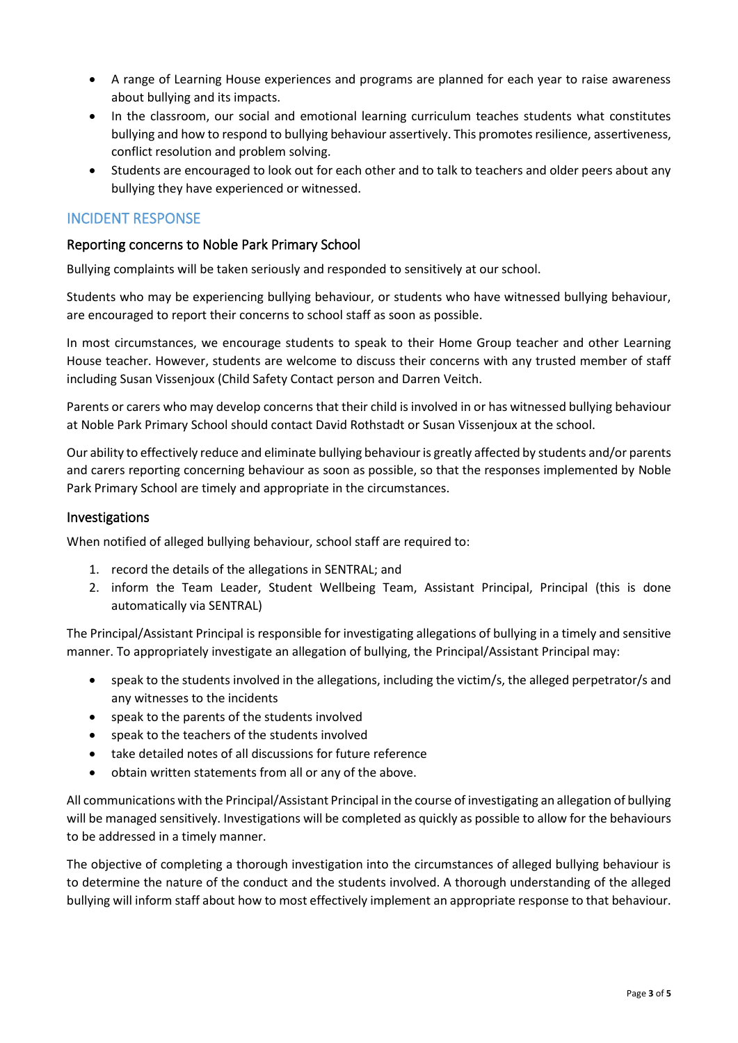- A range of Learning House experiences and programs are planned for each year to raise awareness about bullying and its impacts.
- In the classroom, our social and emotional learning curriculum teaches students what constitutes bullying and how to respond to bullying behaviour assertively. This promotes resilience, assertiveness, conflict resolution and problem solving.
- Students are encouraged to look out for each other and to talk to teachers and older peers about any bullying they have experienced or witnessed.

# INCIDENT RESPONSE

#### Reporting concerns to Noble Park Primary School

Bullying complaints will be taken seriously and responded to sensitively at our school.

Students who may be experiencing bullying behaviour, or students who have witnessed bullying behaviour, are encouraged to report their concerns to school staff as soon as possible.

In most circumstances, we encourage students to speak to their Home Group teacher and other Learning House teacher. However, students are welcome to discuss their concerns with any trusted member of staff including Susan Vissenjoux (Child Safety Contact person and Darren Veitch.

Parents or carers who may develop concerns that their child is involved in or has witnessed bullying behaviour at Noble Park Primary School should contact David Rothstadt or Susan Vissenjoux at the school.

Our ability to effectively reduce and eliminate bullying behaviour is greatly affected by students and/or parents and carers reporting concerning behaviour as soon as possible, so that the responses implemented by Noble Park Primary School are timely and appropriate in the circumstances.

#### Investigations

When notified of alleged bullying behaviour, school staff are required to:

- 1. record the details of the allegations in SENTRAL; and
- 2. inform the Team Leader, Student Wellbeing Team, Assistant Principal, Principal (this is done automatically via SENTRAL)

The Principal/Assistant Principal is responsible for investigating allegations of bullying in a timely and sensitive manner. To appropriately investigate an allegation of bullying, the Principal/Assistant Principal may:

- speak to the students involved in the allegations, including the victim/s, the alleged perpetrator/s and any witnesses to the incidents
- speak to the parents of the students involved
- speak to the teachers of the students involved
- take detailed notes of all discussions for future reference
- obtain written statements from all or any of the above.

All communications with the Principal/Assistant Principal in the course of investigating an allegation of bullying will be managed sensitively. Investigations will be completed as quickly as possible to allow for the behaviours to be addressed in a timely manner.

The objective of completing a thorough investigation into the circumstances of alleged bullying behaviour is to determine the nature of the conduct and the students involved. A thorough understanding of the alleged bullying will inform staff about how to most effectively implement an appropriate response to that behaviour.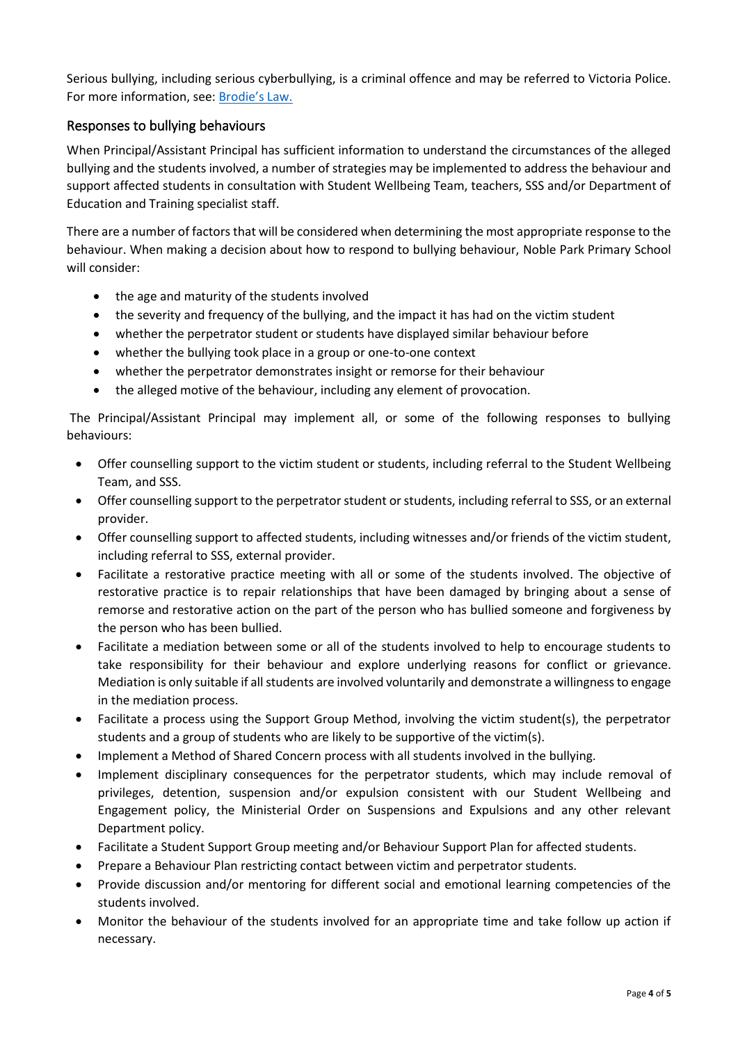Serious bullying, including serious cyberbullying, is a criminal offence and may be referred to Victoria Police. For more information, see: [Brodie's Law.](http://www.education.vic.gov.au/about/programs/bullystoppers/Pages/advicesheetbrodieslaw.aspx)

#### Responses to bullying behaviours

When Principal/Assistant Principal has sufficient information to understand the circumstances of the alleged bullying and the students involved, a number of strategies may be implemented to address the behaviour and support affected students in consultation with Student Wellbeing Team, teachers, SSS and/or Department of Education and Training specialist staff.

There are a number of factors that will be considered when determining the most appropriate response to the behaviour. When making a decision about how to respond to bullying behaviour, Noble Park Primary School will consider:

- the age and maturity of the students involved
- the severity and frequency of the bullying, and the impact it has had on the victim student
- whether the perpetrator student or students have displayed similar behaviour before
- whether the bullying took place in a group or one-to-one context
- whether the perpetrator demonstrates insight or remorse for their behaviour
- the alleged motive of the behaviour, including any element of provocation.

The Principal/Assistant Principal may implement all, or some of the following responses to bullying behaviours:

- Offer counselling support to the victim student or students, including referral to the Student Wellbeing Team, and SSS.
- Offer counselling support to the perpetrator student or students, including referral to SSS, or an external provider.
- Offer counselling support to affected students, including witnesses and/or friends of the victim student, including referral to SSS, external provider.
- Facilitate a restorative practice meeting with all or some of the students involved. The objective of restorative practice is to repair relationships that have been damaged by bringing about a sense of remorse and restorative action on the part of the person who has bullied someone and forgiveness by the person who has been bullied.
- Facilitate a mediation between some or all of the students involved to help to encourage students to take responsibility for their behaviour and explore underlying reasons for conflict or grievance. Mediation is only suitable if all students are involved voluntarily and demonstrate a willingness to engage in the mediation process.
- Facilitate a process using the Support Group Method, involving the victim student(s), the perpetrator students and a group of students who are likely to be supportive of the victim(s).
- Implement a Method of Shared Concern process with all students involved in the bullying.
- Implement disciplinary consequences for the perpetrator students, which may include removal of privileges, detention, suspension and/or expulsion consistent with our Student Wellbeing and Engagement policy, the Ministerial Order on Suspensions and Expulsions and any other relevant Department policy.
- Facilitate a Student Support Group meeting and/or Behaviour Support Plan for affected students.
- Prepare a Behaviour Plan restricting contact between victim and perpetrator students.
- Provide discussion and/or mentoring for different social and emotional learning competencies of the students involved.
- Monitor the behaviour of the students involved for an appropriate time and take follow up action if necessary.